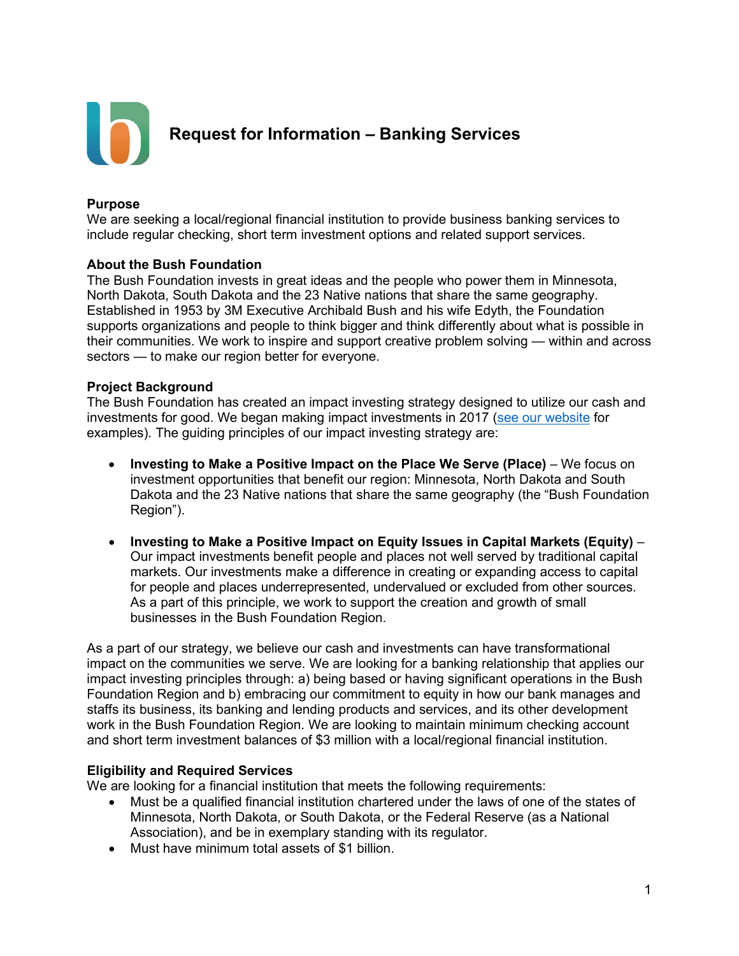

### **Purpose**

We are seeking a local/regional financial institution to provide business banking services to include regular checking, short term investment options and related support services.

### **About the Bush Foundation**

The Bush Foundation invests in great ideas and the people who power them in Minnesota, North Dakota, South Dakota and the 23 Native nations that share the same geography. Established in 1953 by 3M Executive Archibald Bush and his wife Edyth, the Foundation supports organizations and people to think bigger and think differently about what is possible in their communities. We work to inspire and support creative problem solving — within and across sectors — to make our region better for everyone.

### **Project Background**

The Bush Foundation has created an impact investing strategy designed to utilize our cash and investments for good. We began making impact investments in 2017 [\(see our website](https://www.bushfoundation.org/impact-investing-statement) for examples). The guiding principles of our impact investing strategy are:

- **Investing to Make a Positive Impact on the Place We Serve (Place)** We focus on investment opportunities that benefit our region: Minnesota, North Dakota and South Dakota and the 23 Native nations that share the same geography (the "Bush Foundation Region").
- **Investing to Make a Positive Impact on Equity Issues in Capital Markets (Equity)** Our impact investments benefit people and places not well served by traditional capital markets. Our investments make a difference in creating or expanding access to capital for people and places underrepresented, undervalued or excluded from other sources. As a part of this principle, we work to support the creation and growth of small businesses in the Bush Foundation Region.

As a part of our strategy, we believe our cash and investments can have transformational impact on the communities we serve. We are looking for a banking relationship that applies our impact investing principles through: a) being based or having significant operations in the Bush Foundation Region and b) embracing our commitment to equity in how our bank manages and staffs its business, its banking and lending products and services, and its other development work in the Bush Foundation Region. We are looking to maintain minimum checking account and short term investment balances of \$3 million with a local/regional financial institution.

## **Eligibility and Required Services**

We are looking for a financial institution that meets the following requirements:

- Must be a qualified financial institution chartered under the laws of one of the states of Minnesota, North Dakota, or South Dakota, or the Federal Reserve (as a National Association), and be in exemplary standing with its regulator.
- Must have minimum total assets of \$1 billion.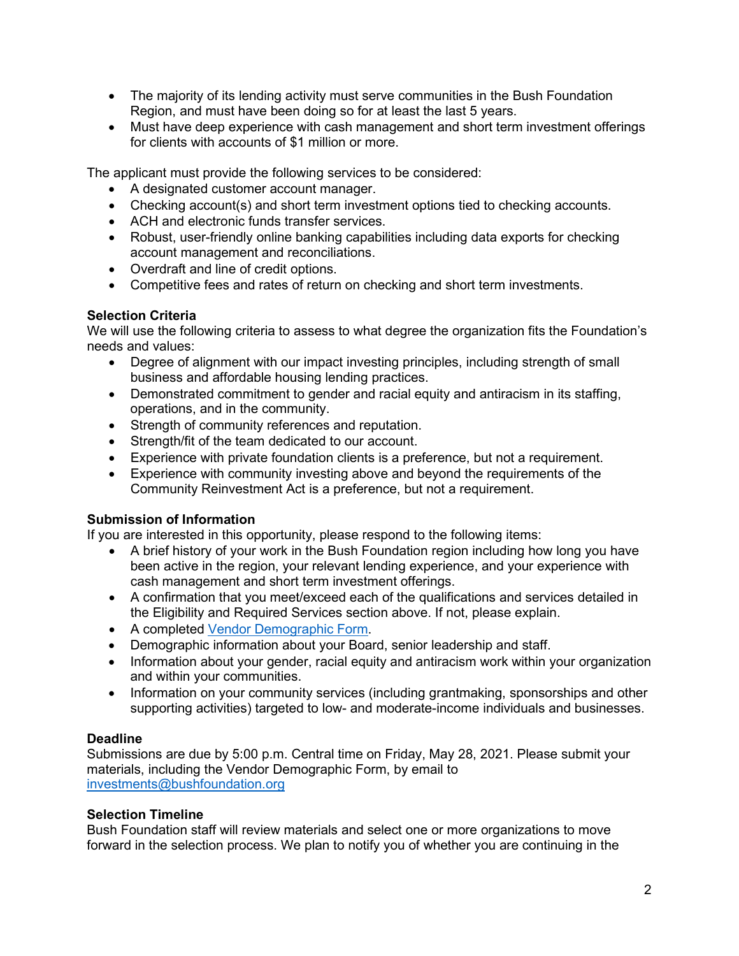- The majority of its lending activity must serve communities in the Bush Foundation Region, and must have been doing so for at least the last 5 years.
- Must have deep experience with cash management and short term investment offerings for clients with accounts of \$1 million or more.

The applicant must provide the following services to be considered:

- A designated customer account manager.
- Checking account(s) and short term investment options tied to checking accounts.
- ACH and electronic funds transfer services.
- Robust, user-friendly online banking capabilities including data exports for checking account management and reconciliations.
- Overdraft and line of credit options.
- Competitive fees and rates of return on checking and short term investments.

## **Selection Criteria**

We will use the following criteria to assess to what degree the organization fits the Foundation's needs and values:

- Degree of alignment with our impact investing principles, including strength of small business and affordable housing lending practices.
- Demonstrated commitment to gender and racial equity and antiracism in its staffing, operations, and in the community.
- Strength of community references and reputation.
- Strength/fit of the team dedicated to our account.
- Experience with private foundation clients is a preference, but not a requirement.
- Experience with community investing above and beyond the requirements of the Community Reinvestment Act is a preference, but not a requirement.

## **Submission of Information**

If you are interested in this opportunity, please respond to the following items:

- A brief history of your work in the Bush Foundation region including how long you have been active in the region, your relevant lending experience, and your experience with cash management and short term investment offerings.
- A confirmation that you meet/exceed each of the qualifications and services detailed in the Eligibility and Required Services section above. If not, please explain.
- A completed [Vendor Demographic Form.](https://www.bushfoundation.org/sites/default/files/pdfs/2020_01_21_VendorForm_Final.pdf)
- Demographic information about your Board, senior leadership and staff.
- Information about your gender, racial equity and antiracism work within your organization and within your communities.
- Information on your community services (including grantmaking, sponsorships and other supporting activities) targeted to low- and moderate-income individuals and businesses.

## **Deadline**

Submissions are due by 5:00 p.m. Central time on Friday, May 28, 2021. Please submit your materials, including the Vendor Demographic Form, by email to [investments@bushfoundation.org](mailto:investments@bushfoundation.org)

# **Selection Timeline**

Bush Foundation staff will review materials and select one or more organizations to move forward in the selection process. We plan to notify you of whether you are continuing in the